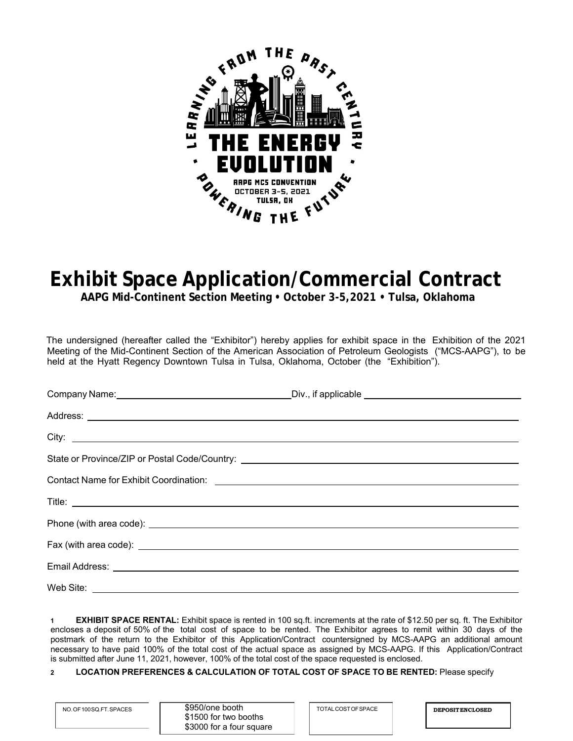

## **Exhibit Space Application/Commercial Contract**

**AAPG Mid-Continent Section Meeting • October 3-5,2021 • Tulsa, Oklahoma** 

The undersigned (hereafter called the "Exhibitor") hereby applies for exhibit space in the Exhibition of the 2021 Meeting of the Mid-Continent Section of the American Association of Petroleum Geologists ("MCS-AAPG"), to be held at the Hyatt Regency Downtown Tulsa in Tulsa, Oklahoma, October (the "Exhibition").

| Fax (with area code): <u>example and contract and contract and contract and contract and contract and contract and contract and contract and contract and contract and contract and contract and contract and contract and contr</u> |  |
|--------------------------------------------------------------------------------------------------------------------------------------------------------------------------------------------------------------------------------------|--|
|                                                                                                                                                                                                                                      |  |
| Web Site: <u>www.community.com and the set of the set of the set of the set of the set of the set of the set of the set of the set of the set of the set of the set of the set of the set of the set of the set of the set of th</u> |  |

**1 EXHIBIT SPACE RENTAL:** Exhibit space is rented in 100 sq.ft. increments at the rate of \$12.50 per sq. ft. The Exhibitor encloses a deposit of 50% of the total cost of space to be rented. The Exhibitor agrees to remit within 30 days of the postmark of the return to the Exhibitor of this Application/Contract countersigned by MCS-AAPG an additional amount necessary to have paid 100% of the total cost of the actual space as assigned by MCS-AAPG. If this Application/Contract is submitted after June 11, 2021, however, 100% of the total cost of the space requested is enclosed.

## **2 LOCATION PREFERENCES & CALCULATION OF TOTAL COST OF SPACE TO BE RENTED:** Please specify

| NO. OF 100 SQ.FT. SPACES | \$950/one booth          | TOTAL COST OF SPACE | <b>DEPOSITENCLOSED</b> |
|--------------------------|--------------------------|---------------------|------------------------|
|                          | \$1500 for two booths    |                     |                        |
|                          | \$3000 for a four square |                     |                        |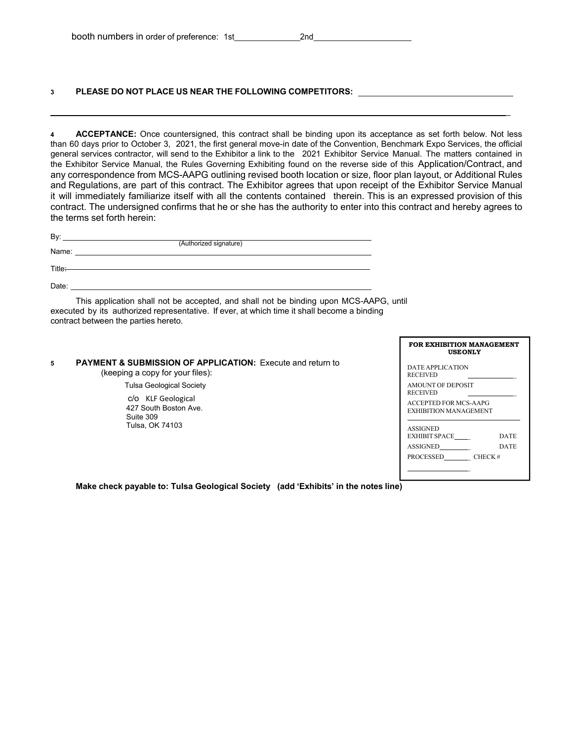## **3 PLEASE DO NOT PLACE US NEAR THE FOLLOWING COMPETITORS:**

**4 ACCEPTANCE:** Once countersigned, this contract shall be binding upon its acceptance as set forth below. Not less than 60 days prior to October 3, 2021, the first general move-in date of the Convention, Benchmark Expo Services, the official general services contractor, will send to the Exhibitor a link to the 2021 Exhibitor Service Manual. The matters contained in the Exhibitor Service Manual, the Rules Governing Exhibiting found on the reverse side of this Application/Contract, and any correspondence from MCS-AAPG outlining revised booth location or size, floor plan layout, or Additional Rules and Regulations, are part of this contract. The Exhibitor agrees that upon receipt of the Exhibitor Service Manual it will immediately familiarize itself with all the contents contained therein. This is an expressed provision of this contract. The undersigned confirms that he or she has the authority to enter into this contract and hereby agrees to the terms set forth herein:

| (Authorized signature)                                                                                                                                                                                                         |  |
|--------------------------------------------------------------------------------------------------------------------------------------------------------------------------------------------------------------------------------|--|
| Title <del>:</del>                                                                                                                                                                                                             |  |
| Date: the contract of the contract of the contract of the contract of the contract of the contract of the contract of the contract of the contract of the contract of the contract of the contract of the contract of the cont |  |
| This application shall not be accepted, and shall not be binding upon MCS-AAPG, until<br>executed by its authorized representative. If ever, at which time it shall become a binding                                           |  |

contract between the parties hereto.

| <b>PAYMENT &amp; SUBMISSION OF APPLICATION:</b> Execute and return to |
|-----------------------------------------------------------------------|
| (keeping a copy for your files):                                      |

Tulsa Geological Society

 c/o KLF Geological 427 South Boston Ave. Suite 309 Tulsa, OK 74103

| FOR EXHIBITION MANAGEMENT<br><b>USEONLY</b>    |             |  |
|------------------------------------------------|-------------|--|
| DATE APPLICATION<br><b>RECEIVED</b>            |             |  |
| <b>AMOUNT OF DEPOSIT</b><br><b>RECEIVED</b>    |             |  |
| ACCEPTED FOR MCS-AAPG<br>EXHIBITION MANAGEMENT |             |  |
| <b>ASSIGNED</b>                                |             |  |
| EXHIBIT SPACE                                  | DATE        |  |
| <b>ASSIGNED</b>                                | <b>DATE</b> |  |
| PROCESSED CHECK #                              |             |  |
|                                                |             |  |
|                                                |             |  |

 $\mathbb{Z}^2$ 

**Make check payable to: Tulsa Geological Society (add 'Exhibits' in the notes line)**